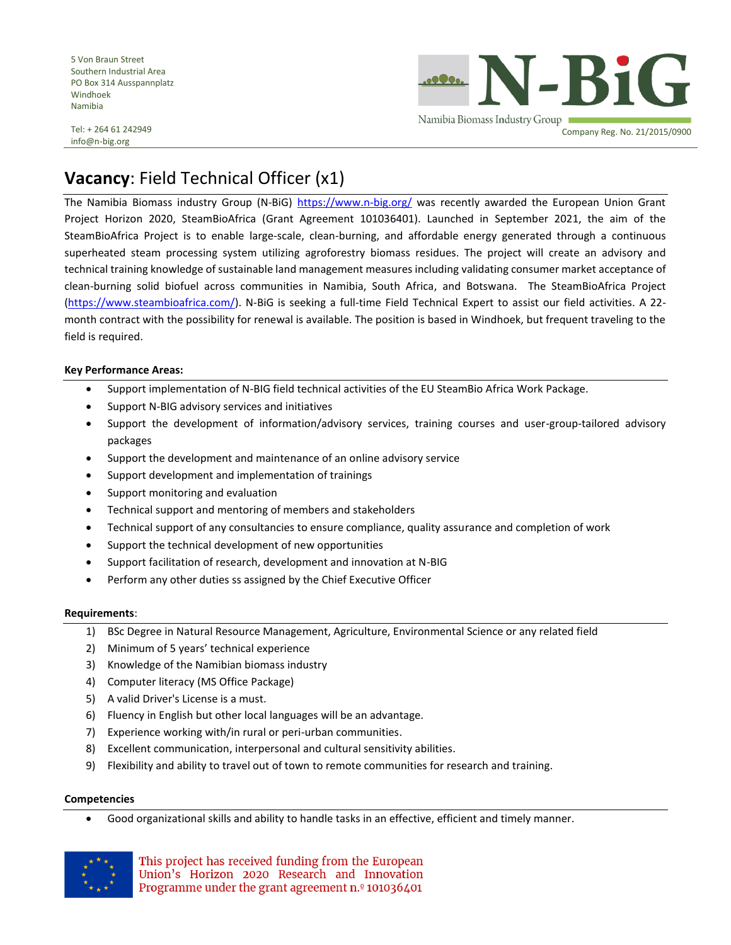5 Von Braun Street Southern Industrial Area PO Box 314 Ausspannplatz Windhoek Namibia

Tel: + 264 61 242949 info@n-big.org

N-BiG Namibia Biomass Industry Group Company Reg. No. 21/2015/0900

# **Vacancy**: Field Technical Officer (x1)

The Namibia Biomass industry Group (N-BiG) <https://www.n-big.org/> was recently awarded the European Union Grant Project Horizon 2020, SteamBioAfrica (Grant Agreement 101036401). Launched in September 2021, the aim of the SteamBioAfrica Project is to enable large-scale, clean-burning, and affordable energy generated through a continuous superheated steam processing system utilizing agroforestry biomass residues. The project will create an advisory and technical training knowledge of sustainable land management measures including validating consumer market acceptance of clean-burning solid biofuel across communities in Namibia, South Africa, and Botswana. The SteamBioAfrica Project [\(https://www.steambioafrica.com/\)](https://www.steambioafrica.com/). N-BiG is seeking a full-time Field Technical Expert to assist our field activities. A 22 month contract with the possibility for renewal is available. The position is based in Windhoek, but frequent traveling to the field is required.

### **Key Performance Areas:**

- Support implementation of N-BIG field technical activities of the EU SteamBio Africa Work Package.
- Support N-BIG advisory services and initiatives
- Support the development of information/advisory services, training courses and user-group-tailored advisory packages
- Support the development and maintenance of an online advisory service
- Support development and implementation of trainings
- Support monitoring and evaluation
- Technical support and mentoring of members and stakeholders
- Technical support of any consultancies to ensure compliance, quality assurance and completion of work
- Support the technical development of new opportunities
- Support facilitation of research, development and innovation at N-BIG
- Perform any other duties ss assigned by the Chief Executive Officer

#### **Requirements**:

- 1) BSc Degree in Natural Resource Management, Agriculture, Environmental Science or any related field
- 2) Minimum of 5 years' technical experience
- 3) Knowledge of the Namibian biomass industry
- 4) Computer literacy (MS Office Package)
- 5) A valid Driver's License is a must.
- 6) Fluency in English but other local languages will be an advantage.
- 7) Experience working with/in rural or peri-urban communities.
- 8) Excellent communication, interpersonal and cultural sensitivity abilities.
- 9) Flexibility and ability to travel out of town to remote communities for research and training.

#### **Competencies**

• Good organizational skills and ability to handle tasks in an effective, efficient and timely manner.



This project has received funding from the European Union's Horizon 2020 Research and Innovation Programme under the grant agreement n.º 101036401